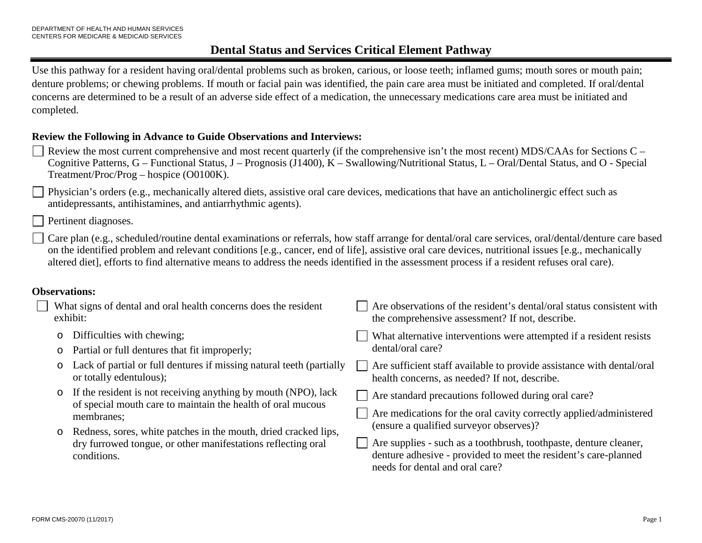Use this pathway for a resident having oral/dental problems such as broken, carious, or loose teeth; inflamed gums; mouth sores or mouth pain; denture problems; or chewing problems. If mouth or facial pain was identified, the pain care area must be initiated and completed. If oral/dental concerns are determined to be a result of an adverse side effect of a medication, the unnecessary medications care area must be initiated and completed.

### **Review the Following in Advance to Guide Observations and Interviews:**

- Review the most current comprehensive and most recent quarterly (if the comprehensive isn't the most recent) MDS/CAAs for Sections C Cognitive Patterns, G – Functional Status, J – Prognosis (J1400), K – Swallowing/Nutritional Status, L – Oral/Dental Status, and O - Special Treatment/Proc/Prog – hospice (O0100K).
- Physician's orders (e.g., mechanically altered diets, assistive oral care devices, medications that have an anticholinergic effect such as antidepressants, antihistamines, and antiarrhythmic agents).
	- Pertinent diagnoses.

Care plan (e.g., scheduled/routine dental examinations or referrals, how staff arrange for dental/oral care services, oral/dental/denture care based on the identified problem and relevant conditions [e.g., cancer, end of life], assistive oral care devices, nutritional issues [e.g., mechanically altered diet], efforts to find alternative means to address the needs identified in the assessment process if a resident refuses oral care).

### **Observations:**

| What signs of dental and oral health concerns does the resident<br>exhibit: |                                                                                                                                                                                                                                                                                               | Are observations of the resident's dental/oral status consistent with<br>the comprehensive assessment? If not, describe.                                                                                                                                                                                                                        |
|-----------------------------------------------------------------------------|-----------------------------------------------------------------------------------------------------------------------------------------------------------------------------------------------------------------------------------------------------------------------------------------------|-------------------------------------------------------------------------------------------------------------------------------------------------------------------------------------------------------------------------------------------------------------------------------------------------------------------------------------------------|
|                                                                             | Difficulties with chewing;<br>Partial or full dentures that fit improperly;                                                                                                                                                                                                                   | What alternative interventions were attempted if a resident resists<br>dental/oral care?                                                                                                                                                                                                                                                        |
| $\circ$                                                                     | Lack of partial or full dentures if missing natural teeth (partially<br>or totally edentulous);                                                                                                                                                                                               | Are sufficient staff available to provide assistance with dental/oral<br>health concerns, as needed? If not, describe.                                                                                                                                                                                                                          |
|                                                                             | If the resident is not receiving anything by mouth (NPO), lack<br>of special mouth care to maintain the health of oral mucous<br>membranes;<br>Redness, sores, white patches in the mouth, dried cracked lips,<br>dry furrowed tongue, or other manifestations reflecting oral<br>conditions. | Are standard precautions followed during oral care?<br>Are medications for the oral cavity correctly applied/administered<br>(ensure a qualified surveyor observes)?<br>Are supplies - such as a toothbrush, toothpaste, denture cleaner,<br>denture adhesive - provided to meet the resident's care-planned<br>needs for dental and oral care? |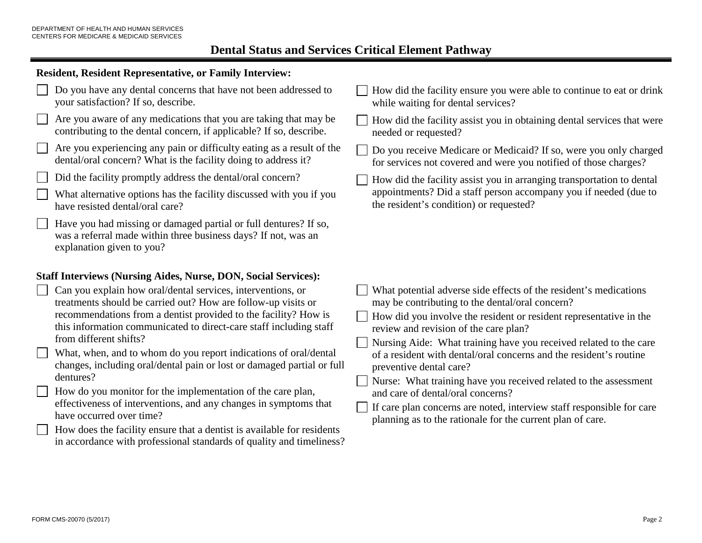### **Resident, Resident Representative, or Family Interview:**



- Are you aware of any medications that you are taking that may be contributing to the dental concern, if applicable? If so, describe.
- Are you experiencing any pain or difficulty eating as a result of the dental/oral concern? What is the facility doing to address it?
- Did the facility promptly address the dental/oral concern?
- What alternative options has the facility discussed with you if you have resisted dental/oral care?
- Have you had missing or damaged partial or full dentures? If so, was a referral made within three business days? If not, was an explanation given to you?

### **Staff Interviews (Nursing Aides, Nurse, DON, Social Services):**

- Can you explain how oral/dental services, interventions, or treatments should be carried out? How are follow-up visits or recommendations from a dentist provided to the facility? How is this information communicated to direct-care staff including staff from different shifts?
- What, when, and to whom do you report indications of oral/dental changes, including oral/dental pain or lost or damaged partial or full dentures?
- How do you monitor for the implementation of the care plan, effectiveness of interventions, and any changes in symptoms that have occurred over time?
- How does the facility ensure that a dentist is available for residents in accordance with professional standards of quality and timeliness?
- How did the facility ensure you were able to continue to eat or drink while waiting for dental services?
- How did the facility assist you in obtaining dental services that were needed or requested?
- Do you receive Medicare or Medicaid? If so, were you only charged for services not covered and were you notified of those charges?
- How did the facility assist you in arranging transportation to dental  $\mathbf{L}$ appointments? Did a staff person accompany you if needed (due to the resident's condition) or requested?

- What potential adverse side effects of the resident's medications may be contributing to the dental/oral concern?
- How did you involve the resident or resident representative in the review and revision of the care plan?
- Nursing Aide: What training have you received related to the care of a resident with dental/oral concerns and the resident's routine preventive dental care?
- Nurse: What training have you received related to the assessment and care of dental/oral concerns?
- If care plan concerns are noted, interview staff responsible for care planning as to the rationale for the current plan of care.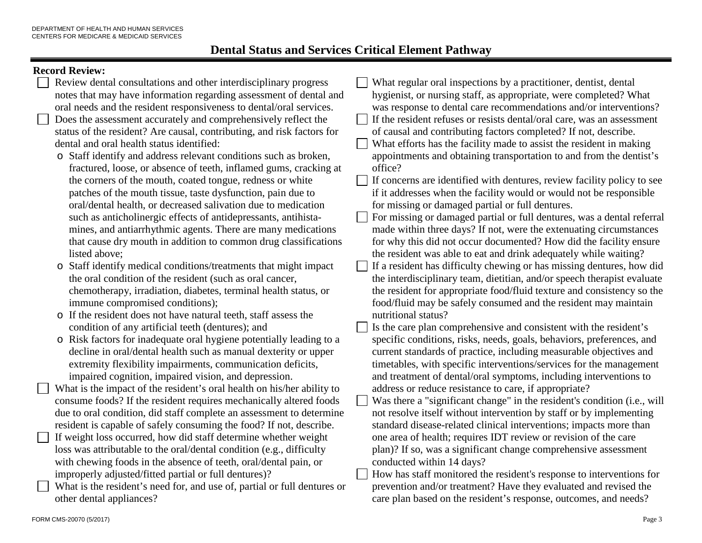## **Record Review**

|                                                             | Kecord Keview:                                                           |              |                                                                          |  |  |  |
|-------------------------------------------------------------|--------------------------------------------------------------------------|--------------|--------------------------------------------------------------------------|--|--|--|
|                                                             | Review dental consultations and other interdisciplinary progress         |              | What regular oral inspections by a practitioner, dentist, dental         |  |  |  |
|                                                             | notes that may have information regarding assessment of dental and       |              | hygienist, or nursing staff, as appropriate, were completed? What        |  |  |  |
|                                                             | oral needs and the resident responsiveness to dental/oral services.      |              | was response to dental care recommendations and/or interventions?        |  |  |  |
|                                                             | Does the assessment accurately and comprehensively reflect the           |              | If the resident refuses or resists dental/oral care, was an assessment   |  |  |  |
|                                                             | status of the resident? Are causal, contributing, and risk factors for   |              | of causal and contributing factors completed? If not, describe.          |  |  |  |
|                                                             | dental and oral health status identified:                                |              | What efforts has the facility made to assist the resident in making      |  |  |  |
|                                                             | o Staff identify and address relevant conditions such as broken,         |              | appointments and obtaining transportation to and from the dentist's      |  |  |  |
|                                                             | fractured, loose, or absence of teeth, inflamed gums, cracking at        |              | office?                                                                  |  |  |  |
|                                                             | the corners of the mouth, coated tongue, redness or white                | $\mathbf{L}$ |                                                                          |  |  |  |
|                                                             |                                                                          |              | If concerns are identified with dentures, review facility policy to see  |  |  |  |
| patches of the mouth tissue, taste dysfunction, pain due to |                                                                          |              | if it addresses when the facility would or would not be responsible      |  |  |  |
|                                                             | oral/dental health, or decreased salivation due to medication            |              | for missing or damaged partial or full dentures.                         |  |  |  |
|                                                             | such as anticholinergic effects of antidepressants, antihista-           |              | For missing or damaged partial or full dentures, was a dental referral   |  |  |  |
|                                                             | mines, and antiarrhythmic agents. There are many medications             |              | made within three days? If not, were the extenuating circumstances       |  |  |  |
|                                                             | that cause dry mouth in addition to common drug classifications          |              | for why this did not occur documented? How did the facility ensure       |  |  |  |
|                                                             | listed above;                                                            |              | the resident was able to eat and drink adequately while waiting?         |  |  |  |
|                                                             | o Staff identify medical conditions/treatments that might impact         |              | If a resident has difficulty chewing or has missing dentures, how did    |  |  |  |
|                                                             | the oral condition of the resident (such as oral cancer,                 |              | the interdisciplinary team, dietitian, and/or speech therapist evaluate  |  |  |  |
|                                                             | chemotherapy, irradiation, diabetes, terminal health status, or          |              | the resident for appropriate food/fluid texture and consistency so the   |  |  |  |
|                                                             | immune compromised conditions);                                          |              | food/fluid may be safely consumed and the resident may maintain          |  |  |  |
|                                                             | o If the resident does not have natural teeth, staff assess the          |              | nutritional status?                                                      |  |  |  |
|                                                             | condition of any artificial teeth (dentures); and                        |              | Is the care plan comprehensive and consistent with the resident's        |  |  |  |
|                                                             | o Risk factors for inadequate oral hygiene potentially leading to a      |              | specific conditions, risks, needs, goals, behaviors, preferences, and    |  |  |  |
|                                                             | decline in oral/dental health such as manual dexterity or upper          |              | current standards of practice, including measurable objectives and       |  |  |  |
|                                                             | extremity flexibility impairments, communication deficits,               |              | timetables, with specific interventions/services for the management      |  |  |  |
|                                                             | impaired cognition, impaired vision, and depression.                     |              | and treatment of dental/oral symptoms, including interventions to        |  |  |  |
|                                                             | What is the impact of the resident's oral health on his/her ability to   |              | address or reduce resistance to care, if appropriate?                    |  |  |  |
|                                                             | consume foods? If the resident requires mechanically altered foods       |              | Was there a "significant change" in the resident's condition (i.e., will |  |  |  |
|                                                             | due to oral condition, did staff complete an assessment to determine     |              | not resolve itself without intervention by staff or by implementing      |  |  |  |
|                                                             | resident is capable of safely consuming the food? If not, describe.      |              | standard disease-related clinical interventions; impacts more than       |  |  |  |
|                                                             | If weight loss occurred, how did staff determine whether weight          |              |                                                                          |  |  |  |
|                                                             |                                                                          |              | one area of health; requires IDT review or revision of the care          |  |  |  |
|                                                             | loss was attributable to the oral/dental condition (e.g., difficulty     |              | plan)? If so, was a significant change comprehensive assessment          |  |  |  |
|                                                             | with chewing foods in the absence of teeth, oral/dental pain, or         |              | conducted within 14 days?                                                |  |  |  |
|                                                             | improperly adjusted/fitted partial or full dentures)?                    |              | How has staff monitored the resident's response to interventions for     |  |  |  |
|                                                             | What is the resident's need for, and use of, partial or full dentures or |              | prevention and/or treatment? Have they evaluated and revised the         |  |  |  |
|                                                             | other dental appliances?                                                 |              | care plan based on the resident's response, outcomes, and needs?         |  |  |  |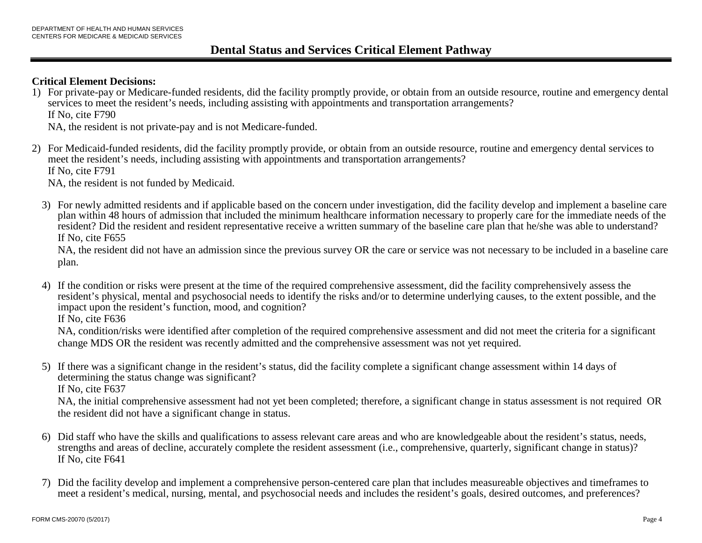### **Critical Element Decisions:**

1) For private-pay or Medicare-funded residents, did the facility promptly provide, or obtain from an outside resource, routine and emergency dental services to meet the resident's needs, including assisting with appointments and transportation arrangements? If No, cite F790

NA, the resident is not private-pay and is not Medicare-funded.

2) For Medicaid-funded residents, did the facility promptly provide, or obtain from an outside resource, routine and emergency dental services to meet the resident's needs, including assisting with appointments and transportation arrangements? If No, cite F791

NA, the resident is not funded by Medicaid.

3) For newly admitted residents and if applicable based on the concern under investigation, did the facility develop and implement a baseline care plan within 48 hours of admission that included the minimum healthcare information necessary to properly care for the immediate needs of the resident? Did the resident and resident representative receive a written summary of the baseline care plan that he/she was able to understand? If No, cite F655

NA, the resident did not have an admission since the previous survey OR the care or service was not necessary to be included in a baseline care plan.

4) If the condition or risks were present at the time of the required comprehensive assessment, did the facility comprehensively assess the resident's physical, mental and psychosocial needs to identify the risks and/or to determine underlying causes, to the extent possible, and the impact upon the resident's function, mood, and cognition?

If No, cite F636

NA, condition/risks were identified after completion of the required comprehensive assessment and did not meet the criteria for a significant change MDS OR the resident was recently admitted and the comprehensive assessment was not yet required.

5) If there was a significant change in the resident's status, did the facility complete a significant change assessment within 14 days of determining the status change was significant? If No, cite F637

NA, the initial comprehensive assessment had not yet been completed; therefore, a significant change in status assessment is not required OR the resident did not have a significant change in status.

- 6) Did staff who have the skills and qualifications to assess relevant care areas and who are knowledgeable about the resident's status, needs, strengths and areas of decline, accurately complete the resident assessment (i.e., comprehensive, quarterly, significant change in status)? If No, cite F641
- 7) Did the facility develop and implement a comprehensive person-centered care plan that includes measureable objectives and timeframes to meet a resident's medical, nursing, mental, and psychosocial needs and includes the resident's goals, desired outcomes, and preferences?